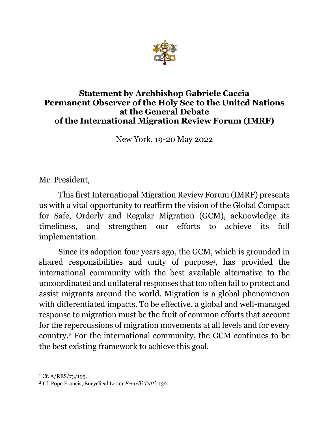

#### **Statement by Archbishop Gabriele Caccia Permanent Observer of the Holy See to the United Nations at the General Debate of the International Migration Review Forum (IMRF)**

New York, 19-20 May 2022

Mr. President,

This first International Migration Review Forum (IMRF) presents us with a vital opportunity to reaffirm the vision of the Global Compact for Safe, Orderly and Regular Migration (GCM), acknowledge its timeliness, and strengthen our efforts to achieve its full implementation.

Since its adoption four years ago, the GCM, which is grounded in shared responsibilities and unity of purpose<sup>1</sup>, has provided the international community with the best available alternative to the uncoordinated and unilateral responses that too often fail to protect and assist migrants around the world. Migration is a global phenomenon with differentiated impacts. To be effective, a global and well-managed response to migration must be the fruit of common efforts that account for the repercussions of migration movements at all levels and for every country.2 For the international community, the GCM continues to be the best existing framework to achieve this goal.

 $1 \text{ Cf. A/RES}/73/195.$ 

<sup>2</sup> Cf. Pope Francis, Encyclical Letter *Fratelli Tutti*, 132.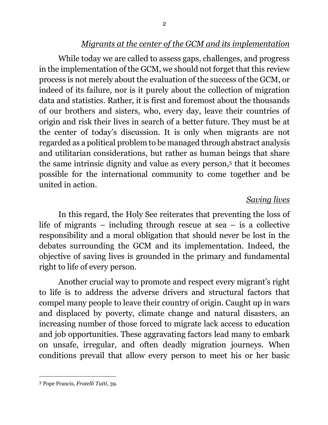#### *Migrants at the center of the GCM and its implementation*

While today we are called to assess gaps, challenges, and progress in the implementation of the GCM, we should not forget that this review process is not merely about the evaluation of the success of the GCM, or indeed of its failure, nor is it purely about the collection of migration data and statistics. Rather, it is first and foremost about the thousands of our brothers and sisters, who, every day, leave their countries of origin and risk their lives in search of a better future. They must be at the center of today's discussion. It is only when migrants are not regarded as a political problem to be managed through abstract analysis and utilitarian considerations, but rather as human beings that share the same intrinsic dignity and value as every person,3 that it becomes possible for the international community to come together and be united in action.

## *Saving lives*

In this regard, the Holy See reiterates that preventing the loss of life of migrants – including through rescue at sea – is a collective responsibility and a moral obligation that should never be lost in the debates surrounding the GCM and its implementation. Indeed, the objective of saving lives is grounded in the primary and fundamental right to life of every person.

Another crucial way to promote and respect every migrant's right to life is to address the adverse drivers and structural factors that compel many people to leave their country of origin. Caught up in wars and displaced by poverty, climate change and natural disasters, an increasing number of those forced to migrate lack access to education and job opportunities. These aggravating factors lead many to embark on unsafe, irregular, and often deadly migration journeys. When conditions prevail that allow every person to meet his or her basic

<sup>3</sup> Pope Francis, *Fratelli Tutti*, 39.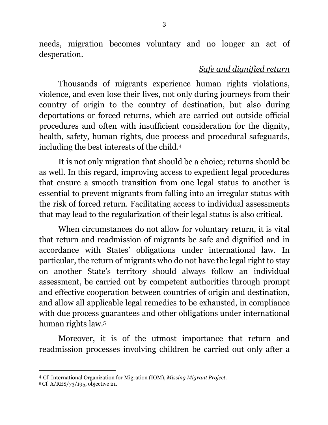needs, migration becomes voluntary and no longer an act of desperation.

## *Safe and dignified return*

Thousands of migrants experience human rights violations, violence, and even lose their lives, not only during journeys from their country of origin to the country of destination, but also during deportations or forced returns, which are carried out outside official procedures and often with insufficient consideration for the dignity, health, safety, human rights, due process and procedural safeguards, including the best interests of the child. 4

It is not only migration that should be a choice; returns should be as well. In this regard, improving access to expedient legal procedures that ensure a smooth transition from one legal status to another is essential to prevent migrants from falling into an irregular status with the risk of forced return. Facilitating access to individual assessments that may lead to the regularization of their legal status is also critical.

When circumstances do not allow for voluntary return, it is vital that return and readmission of migrants be safe and dignified and in accordance with States' obligations under international law. In particular, the return of migrants who do not have the legal right to stay on another State's territory should always follow an individual assessment, be carried out by competent authorities through prompt and effective cooperation between countries of origin and destination, and allow all applicable legal remedies to be exhausted, in compliance with due process guarantees and other obligations under international human rights law.5

Moreover, it is of the utmost importance that return and readmission processes involving children be carried out only after a

<sup>4</sup> Cf. International Organization for Migration (IOM), *Missing Migrant Project*.

<sup>5</sup> Cf. A/RES/73/195, objective 21.